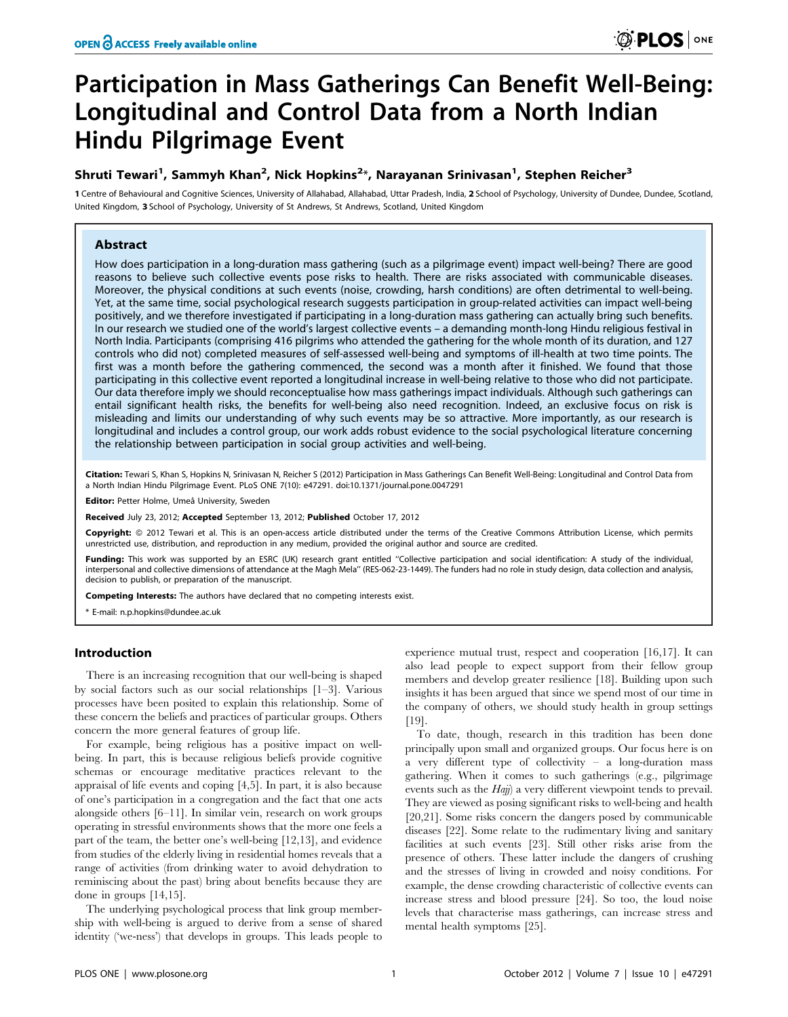# Participation in Mass Gatherings Can Benefit Well-Being: Longitudinal and Control Data from a North Indian Hindu Pilgrimage Event

# Shruti Tewari<sup>1</sup>, Sammyh Khan<sup>2</sup>, Nick Hopkins<sup>2</sup>\*, Narayanan Srinivasan<sup>1</sup>, Stephen Reicher<sup>3</sup>

1 Centre of Behavioural and Cognitive Sciences, University of Allahabad, Allahabad, Uttar Pradesh, India, 2 School of Psychology, University of Dundee, Dundee, Scotland, United Kingdom, 3 School of Psychology, University of St Andrews, St Andrews, Scotland, United Kingdom

# Abstract

How does participation in a long-duration mass gathering (such as a pilgrimage event) impact well-being? There are good reasons to believe such collective events pose risks to health. There are risks associated with communicable diseases. Moreover, the physical conditions at such events (noise, crowding, harsh conditions) are often detrimental to well-being. Yet, at the same time, social psychological research suggests participation in group-related activities can impact well-being positively, and we therefore investigated if participating in a long-duration mass gathering can actually bring such benefits. In our research we studied one of the world's largest collective events – a demanding month-long Hindu religious festival in North India. Participants (comprising 416 pilgrims who attended the gathering for the whole month of its duration, and 127 controls who did not) completed measures of self-assessed well-being and symptoms of ill-health at two time points. The first was a month before the gathering commenced, the second was a month after it finished. We found that those participating in this collective event reported a longitudinal increase in well-being relative to those who did not participate. Our data therefore imply we should reconceptualise how mass gatherings impact individuals. Although such gatherings can entail significant health risks, the benefits for well-being also need recognition. Indeed, an exclusive focus on risk is misleading and limits our understanding of why such events may be so attractive. More importantly, as our research is longitudinal and includes a control group, our work adds robust evidence to the social psychological literature concerning the relationship between participation in social group activities and well-being.

Citation: Tewari S, Khan S, Hopkins N, Srinivasan N, Reicher S (2012) Participation in Mass Gatherings Can Benefit Well-Being: Longitudinal and Control Data from a North Indian Hindu Pilgrimage Event. PLoS ONE 7(10): e47291. doi:10.1371/journal.pone.0047291

Editor: Petter Holme, Umeå University, Sweden

Received July 23, 2012; Accepted September 13, 2012; Published October 17, 2012

Copyright: @ 2012 Tewari et al. This is an open-access article distributed under the terms of the Creative Commons Attribution License, which permits unrestricted use, distribution, and reproduction in any medium, provided the original author and source are credited.

Funding: This work was supported by an ESRC (UK) research grant entitled "Collective participation and social identification: A study of the individual, interpersonal and collective dimensions of attendance at the Magh Mela'' (RES-062-23-1449). The funders had no role in study design, data collection and analysis, decision to publish, or preparation of the manuscript.

Competing Interests: The authors have declared that no competing interests exist.

\* E-mail: n.p.hopkins@dundee.ac.uk

# Introduction

There is an increasing recognition that our well-being is shaped by social factors such as our social relationships [1–3]. Various processes have been posited to explain this relationship. Some of these concern the beliefs and practices of particular groups. Others concern the more general features of group life.

For example, being religious has a positive impact on wellbeing. In part, this is because religious beliefs provide cognitive schemas or encourage meditative practices relevant to the appraisal of life events and coping [4,5]. In part, it is also because of one's participation in a congregation and the fact that one acts alongside others [6–11]. In similar vein, research on work groups operating in stressful environments shows that the more one feels a part of the team, the better one's well-being [12,13], and evidence from studies of the elderly living in residential homes reveals that a range of activities (from drinking water to avoid dehydration to reminiscing about the past) bring about benefits because they are done in groups [14,15].

The underlying psychological process that link group membership with well-being is argued to derive from a sense of shared identity ('we-ness') that develops in groups. This leads people to

experience mutual trust, respect and cooperation [16,17]. It can also lead people to expect support from their fellow group members and develop greater resilience [18]. Building upon such insights it has been argued that since we spend most of our time in the company of others, we should study health in group settings [19].

To date, though, research in this tradition has been done principally upon small and organized groups. Our focus here is on a very different type of collectivity – a long-duration mass gathering. When it comes to such gatherings (e.g., pilgrimage events such as the  $Ha\ddot{\eta}$  a very different viewpoint tends to prevail. They are viewed as posing significant risks to well-being and health [20,21]. Some risks concern the dangers posed by communicable diseases [22]. Some relate to the rudimentary living and sanitary facilities at such events [23]. Still other risks arise from the presence of others. These latter include the dangers of crushing and the stresses of living in crowded and noisy conditions. For example, the dense crowding characteristic of collective events can increase stress and blood pressure [24]. So too, the loud noise levels that characterise mass gatherings, can increase stress and mental health symptoms [25].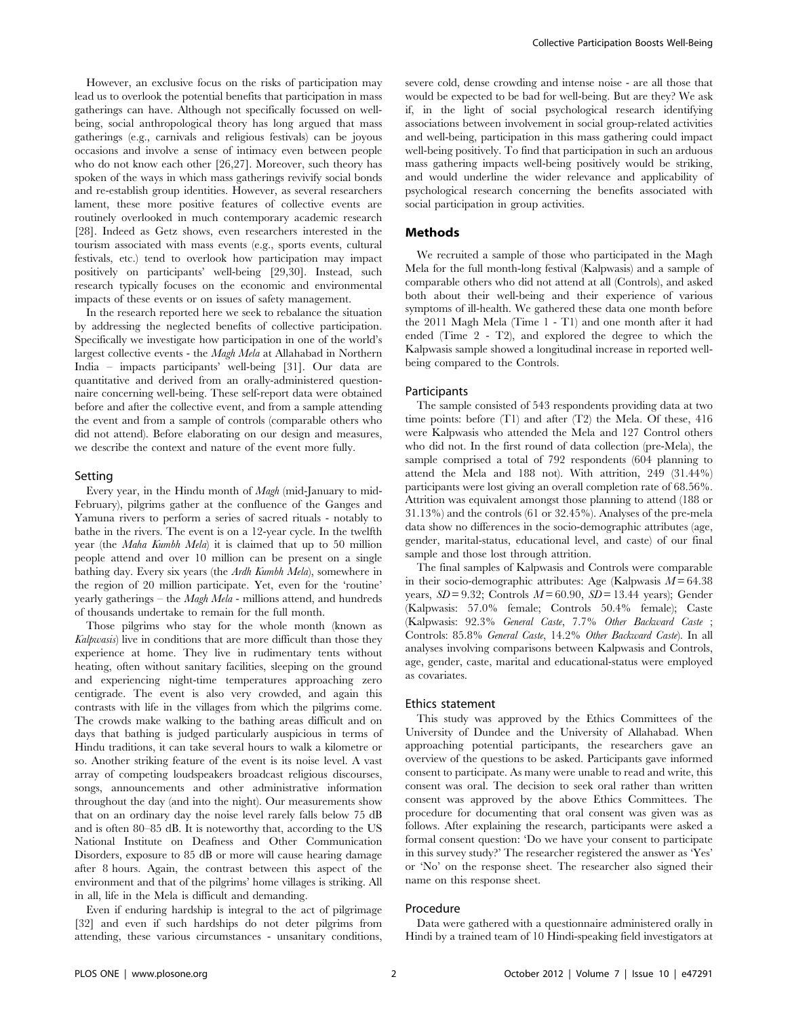However, an exclusive focus on the risks of participation may lead us to overlook the potential benefits that participation in mass gatherings can have. Although not specifically focussed on wellbeing, social anthropological theory has long argued that mass gatherings (e.g., carnivals and religious festivals) can be joyous occasions and involve a sense of intimacy even between people who do not know each other [26,27]. Moreover, such theory has spoken of the ways in which mass gatherings revivify social bonds and re-establish group identities. However, as several researchers lament, these more positive features of collective events are routinely overlooked in much contemporary academic research [28]. Indeed as Getz shows, even researchers interested in the tourism associated with mass events (e.g., sports events, cultural festivals, etc.) tend to overlook how participation may impact positively on participants' well-being [29,30]. Instead, such research typically focuses on the economic and environmental impacts of these events or on issues of safety management.

In the research reported here we seek to rebalance the situation by addressing the neglected benefits of collective participation. Specifically we investigate how participation in one of the world's largest collective events - the Magh Mela at Allahabad in Northern India – impacts participants' well-being [31]. Our data are quantitative and derived from an orally-administered questionnaire concerning well-being. These self-report data were obtained before and after the collective event, and from a sample attending the event and from a sample of controls (comparable others who did not attend). Before elaborating on our design and measures, we describe the context and nature of the event more fully.

#### Setting

Every year, in the Hindu month of Magh (mid-January to mid-February), pilgrims gather at the confluence of the Ganges and Yamuna rivers to perform a series of sacred rituals - notably to bathe in the rivers. The event is on a 12-year cycle. In the twelfth year (the Maha Kumbh Mela) it is claimed that up to 50 million people attend and over 10 million can be present on a single bathing day. Every six years (the Ardh Kumbh Mela), somewhere in the region of 20 million participate. Yet, even for the 'routine' yearly gatherings – the Magh Mela - millions attend, and hundreds of thousands undertake to remain for the full month.

Those pilgrims who stay for the whole month (known as Kalpwasis) live in conditions that are more difficult than those they experience at home. They live in rudimentary tents without heating, often without sanitary facilities, sleeping on the ground and experiencing night-time temperatures approaching zero centigrade. The event is also very crowded, and again this contrasts with life in the villages from which the pilgrims come. The crowds make walking to the bathing areas difficult and on days that bathing is judged particularly auspicious in terms of Hindu traditions, it can take several hours to walk a kilometre or so. Another striking feature of the event is its noise level. A vast array of competing loudspeakers broadcast religious discourses, songs, announcements and other administrative information throughout the day (and into the night). Our measurements show that on an ordinary day the noise level rarely falls below 75 dB and is often 80–85 dB. It is noteworthy that, according to the US National Institute on Deafness and Other Communication Disorders, exposure to 85 dB or more will cause hearing damage after 8 hours. Again, the contrast between this aspect of the environment and that of the pilgrims' home villages is striking. All in all, life in the Mela is difficult and demanding.

Even if enduring hardship is integral to the act of pilgrimage [32] and even if such hardships do not deter pilgrims from attending, these various circumstances - unsanitary conditions, severe cold, dense crowding and intense noise - are all those that would be expected to be bad for well-being. But are they? We ask if, in the light of social psychological research identifying associations between involvement in social group-related activities and well-being, participation in this mass gathering could impact well-being positively. To find that participation in such an arduous mass gathering impacts well-being positively would be striking, and would underline the wider relevance and applicability of psychological research concerning the benefits associated with social participation in group activities.

#### Methods

We recruited a sample of those who participated in the Magh Mela for the full month-long festival (Kalpwasis) and a sample of comparable others who did not attend at all (Controls), and asked both about their well-being and their experience of various symptoms of ill-health. We gathered these data one month before the 2011 Magh Mela (Time 1 - T1) and one month after it had ended (Time 2 - T2), and explored the degree to which the Kalpwasis sample showed a longitudinal increase in reported wellbeing compared to the Controls.

### Participants

The sample consisted of 543 respondents providing data at two time points: before (T1) and after (T2) the Mela. Of these, 416 were Kalpwasis who attended the Mela and 127 Control others who did not. In the first round of data collection (pre-Mela), the sample comprised a total of 792 respondents (604 planning to attend the Mela and 188 not). With attrition, 249 (31.44%) participants were lost giving an overall completion rate of 68.56%. Attrition was equivalent amongst those planning to attend (188 or 31.13%) and the controls (61 or 32.45%). Analyses of the pre-mela data show no differences in the socio-demographic attributes (age, gender, marital-status, educational level, and caste) of our final sample and those lost through attrition.

The final samples of Kalpwasis and Controls were comparable in their socio-demographic attributes: Age (Kalpwasis  $M = 64.38$ ) years,  $SD = 9.32$ ; Controls  $M = 60.90$ ,  $SD = 13.44$  years); Gender (Kalpwasis: 57.0% female; Controls 50.4% female); Caste (Kalpwasis: 92.3% General Caste, 7.7% Other Backward Caste ; Controls: 85.8% General Caste, 14.2% Other Backward Caste). In all analyses involving comparisons between Kalpwasis and Controls, age, gender, caste, marital and educational-status were employed as covariates.

#### Ethics statement

This study was approved by the Ethics Committees of the University of Dundee and the University of Allahabad. When approaching potential participants, the researchers gave an overview of the questions to be asked. Participants gave informed consent to participate. As many were unable to read and write, this consent was oral. The decision to seek oral rather than written consent was approved by the above Ethics Committees. The procedure for documenting that oral consent was given was as follows. After explaining the research, participants were asked a formal consent question: 'Do we have your consent to participate in this survey study?' The researcher registered the answer as 'Yes' or 'No' on the response sheet. The researcher also signed their name on this response sheet.

#### Procedure

Data were gathered with a questionnaire administered orally in Hindi by a trained team of 10 Hindi-speaking field investigators at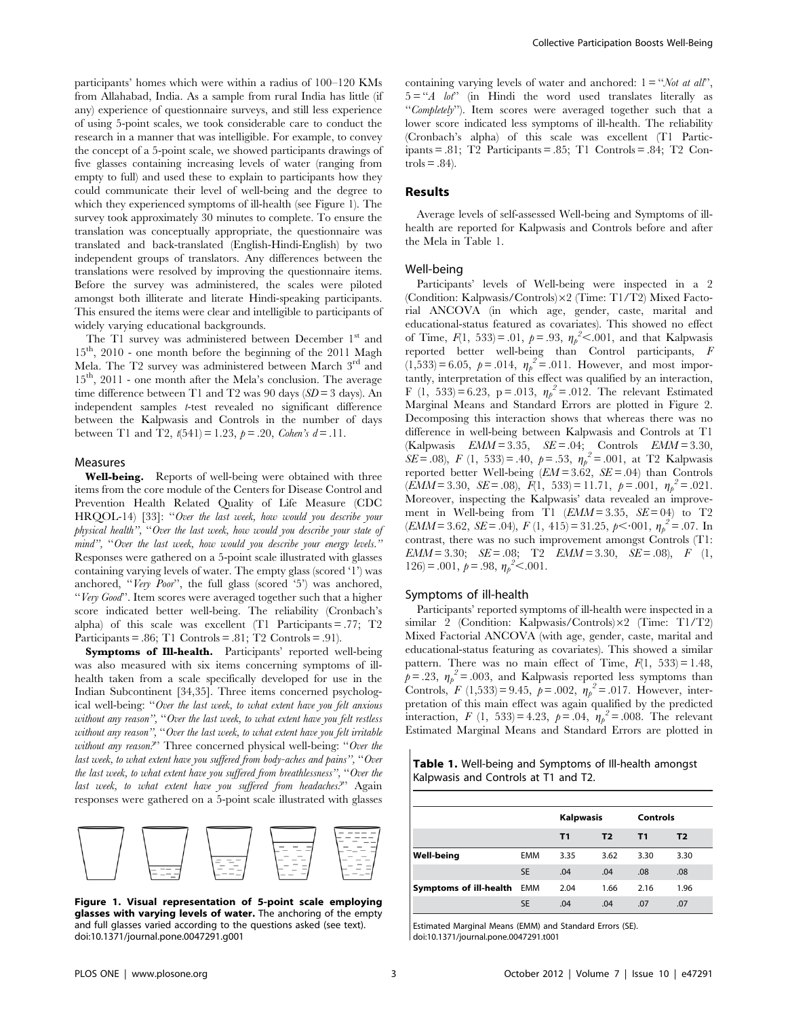participants' homes which were within a radius of 100–120 KMs from Allahabad, India. As a sample from rural India has little (if any) experience of questionnaire surveys, and still less experience of using 5-point scales, we took considerable care to conduct the research in a manner that was intelligible. For example, to convey the concept of a 5-point scale, we showed participants drawings of five glasses containing increasing levels of water (ranging from empty to full) and used these to explain to participants how they could communicate their level of well-being and the degree to which they experienced symptoms of ill-health (see Figure 1). The survey took approximately 30 minutes to complete. To ensure the translation was conceptually appropriate, the questionnaire was translated and back-translated (English-Hindi-English) by two independent groups of translators. Any differences between the translations were resolved by improving the questionnaire items. Before the survey was administered, the scales were piloted amongst both illiterate and literate Hindi-speaking participants. This ensured the items were clear and intelligible to participants of widely varying educational backgrounds.

The T1 survey was administered between December 1<sup>st</sup> and  $15<sup>th</sup>$ , 2010 - one month before the beginning of the 2011 Magh Mela. The T2 survey was administered between March 3<sup>rd</sup> and  $15<sup>th</sup>$ , 2011 - one month after the Mela's conclusion. The average time difference between T1 and T2 was 90 days  $(SD = 3$  days). An independent samples t-test revealed no significant difference between the Kalpwasis and Controls in the number of days between T1 and T2,  $t(541) = 1.23$ ,  $p = .20$ , Cohen's  $d = .11$ .

#### Measures

Well-being. Reports of well-being were obtained with three items from the core module of the Centers for Disease Control and Prevention Health Related Quality of Life Measure (CDC HRQOL-14) [33]: ''Over the last week, how would you describe your physical health'', ''Over the last week, how would you describe your state of mind", "Over the last week, how would you describe your energy levels." Responses were gathered on a 5-point scale illustrated with glasses containing varying levels of water. The empty glass (scored '1') was anchored, "Very Poor", the full glass (scored '5') was anchored, "Very Good". Item scores were averaged together such that a higher score indicated better well-being. The reliability (Cronbach's alpha) of this scale was excellent (T1 Participants = .77; T2 Participants = .86; T1 Controls = .81; T2 Controls = .91).

Symptoms of Ill-health. Participants' reported well-being was also measured with six items concerning symptoms of illhealth taken from a scale specifically developed for use in the Indian Subcontinent [34,35]. Three items concerned psychological well-being: ''Over the last week, to what extent have you felt anxious without any reason", "Over the last week, to what extent have you felt restless without any reason", "Over the last week, to what extent have you felt irritable without any reason.<sup>"</sup> Three concerned physical well-being: "Over the last week, to what extent have you suffered from body-aches and pains", "Over the last week, to what extent have you suffered from breathlessness'', ''Over the last week, to what extent have you suffered from headaches."<sup>"</sup> Again responses were gathered on a 5-point scale illustrated with glasses



Figure 1. Visual representation of 5-point scale employing glasses with varying levels of water. The anchoring of the empty and full glasses varied according to the questions asked (see text). doi:10.1371/journal.pone.0047291.g001

containing varying levels of water and anchored:  $1 = \sqrt{v}$  at all<sup>\*</sup>,  $5 = A$  lot" (in Hindi the word used translates literally as "Completely"). Item scores were averaged together such that a lower score indicated less symptoms of ill-health. The reliability (Cronbach's alpha) of this scale was excellent (T1 Participants = .81; T2 Participants = .85; T1 Controls = .84; T2 Con $trols = .84$ ).

#### Results

Average levels of self-assessed Well-being and Symptoms of illhealth are reported for Kalpwasis and Controls before and after the Mela in Table 1.

#### Well-being

Participants' levels of Well-being were inspected in a 2 (Condition: Kalpwasis/Controls) $\times2$  (Time: T1/T2) Mixed Factorial ANCOVA (in which age, gender, caste, marital and educational-status featured as covariates). This showed no effect of Time,  $F(1, 533) = .01$ ,  $p = .93$ ,  $\eta_p^2 < .001$ , and that Kalpwasis reported better well-being than Control participants, F  $(1,533) = 6.05$ ,  $p = .014$ ,  $\eta_p^2 = .011$ . However, and most importantly, interpretation of this effect was qualified by an interaction, F (1, 533) = 6.23, p = .013,  $\eta_p^2$  = .012. The relevant Estimated Marginal Means and Standard Errors are plotted in Figure 2. Decomposing this interaction shows that whereas there was no difference in well-being between Kalpwasis and Controls at T1 (Kalpwasis  $EMM = 3.35$ ,  $SE = .04$ ; Controls  $EMM = 3.30$ ,  $SE = .08$ ,  $F (1, 533) = .40, p = .53, \eta_p^2 = .001$ , at T2 Kalpwasis reported better Well-being  $(EM = 3.62, SE = .04)$  than Controls  $(\dot{EMM} = 3.30, \ \delta E = .08), \ \ddot{F}(1, 533) = 11.71, \ \rho = .001, \ \eta_{p}^{2} = .021.$ Moreover, inspecting the Kalpwasis' data revealed an improvement in Well-being from T1  $(EMM = 3.35, SE = 04)$  to T2  $(EMM = 3.62, SE = .04), F (1, 415) = 31.25, p < 0.01, \eta_p^2 = .07.$  In contrast, there was no such improvement amongst Controls (T1:  $EMM = 3.30$ ;  $SE = .08$ ; T2  $EMM = 3.30$ ,  $SE = .08$ ), F (1,  $126$ ) = .001,  $p = .98$ ,  $\eta_p^2$  < .001.

#### Symptoms of ill-health

Participants' reported symptoms of ill-health were inspected in a similar 2 (Condition: Kalpwasis/Controls) $\times$ 2 (Time: T1/T2) Mixed Factorial ANCOVA (with age, gender, caste, marital and educational-status featuring as covariates). This showed a similar pattern. There was no main effect of Time,  $F(1, 533) = 1.48$ ,  $p=$  .23,  $\eta_p^2$  = .003, and Kalpwasis reported less symptoms than Controls,  $F(1,533) = 9.45$ ,  $p = .002$ ,  $\eta_p^2 = .017$ . However, interpretation of this main effect was again qualified by the predicted interaction, F (1, 533) = 4.23,  $p = .04$ ,  $\eta_p^2 = .008$ . The relevant Estimated Marginal Means and Standard Errors are plotted in

Table 1. Well-being and Symptoms of Ill-health amongst Kalpwasis and Controls at T1 and T2.

|                               |            | <b>Kalpwasis</b> |                | <b>Controls</b> |      |
|-------------------------------|------------|------------------|----------------|-----------------|------|
|                               |            | T1               | T <sub>2</sub> | Т1              | T2   |
| <b>Well-being</b>             | <b>EMM</b> | 3.35             | 3.62           | 3.30            | 3.30 |
|                               | <b>SE</b>  | .04              | .04            | .08             | .08  |
| <b>Symptoms of ill-health</b> | <b>EMM</b> | 2.04             | 1.66           | 2.16            | 1.96 |
|                               | <b>SE</b>  | .04              | .04            | .07             | .07  |

Estimated Marginal Means (EMM) and Standard Errors (SE). doi:10.1371/journal.pone.0047291.t001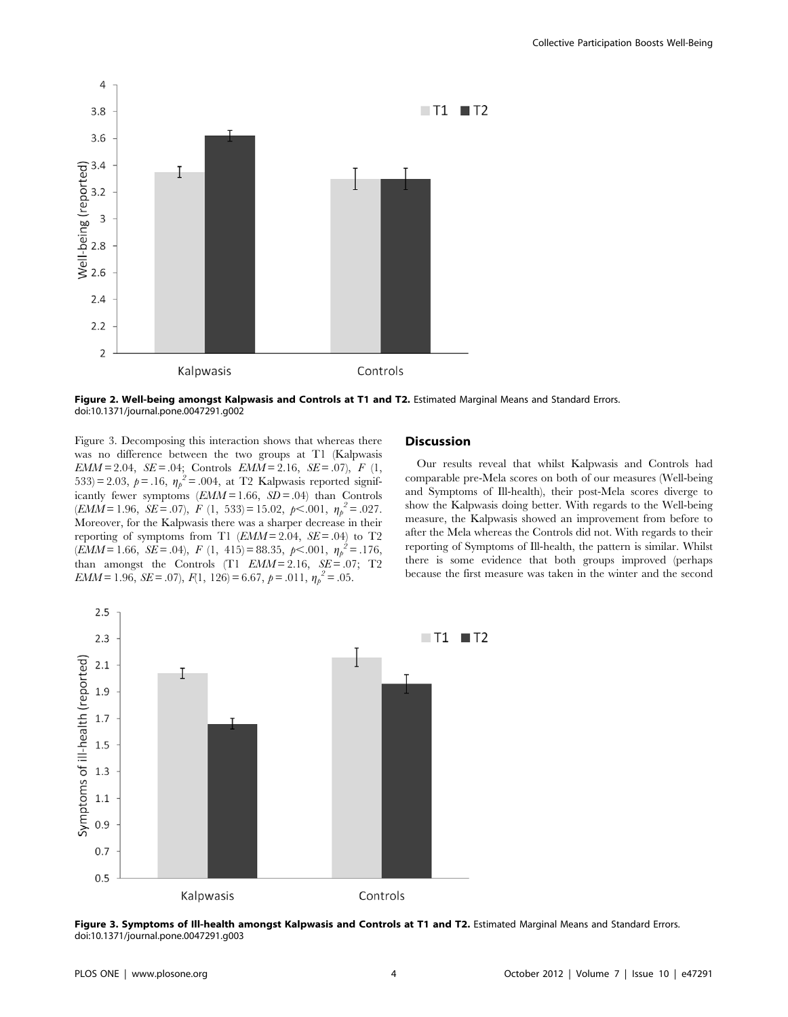

Figure 2. Well-being amongst Kalpwasis and Controls at T1 and T2. Estimated Marginal Means and Standard Errors. doi:10.1371/journal.pone.0047291.g002

Figure 3. Decomposing this interaction shows that whereas there was no difference between the two groups at T1 (Kalpwasis  $EMM = 2.04$ ,  $SE = .04$ ; Controls  $EMM = 2.16$ ,  $SE = .07$ ),  $F(1,$ 533) = 2.03,  $p = 16$ ,  $\eta_p^2 = 0.004$ , at T2 Kalpwasis reported significantly fewer symptoms  $(EMM = 1.66, SD = .04)$  than Controls  $(EMM = 1.96, \ \nSE = .07), \ \nF (1, 533) = 15.02, \ \np < .001, \ \n\eta_p^2 = .027.$ Moreover, for the Kalpwasis there was a sharper decrease in their reporting of symptoms from T1  $(EMM = 2.04, SE = .04)$  to T2  $(\dot{EMM} = 1.66, \ \dot{SE} = .04), \ F (1, 415) = 88.35, \ p < .001, \ \eta_p^2 = .176,$ than amongst the Controls (T1  $EMM = 2.16$ ,  $SE = .07$ ; T2  $EMM = 1.96$ ,  $SE = .07$ ,  $F(1, 126) = 6.67$ ,  $p = .011$ ,  $\eta_p^2 = .05$ .

# **Discussion**

Our results reveal that whilst Kalpwasis and Controls had comparable pre-Mela scores on both of our measures (Well-being and Symptoms of Ill-health), their post-Mela scores diverge to show the Kalpwasis doing better. With regards to the Well-being measure, the Kalpwasis showed an improvement from before to after the Mela whereas the Controls did not. With regards to their reporting of Symptoms of Ill-health, the pattern is similar. Whilst there is some evidence that both groups improved (perhaps because the first measure was taken in the winter and the second



Figure 3. Symptoms of Ill-health amongst Kalpwasis and Controls at T1 and T2. Estimated Marginal Means and Standard Errors. doi:10.1371/journal.pone.0047291.g003